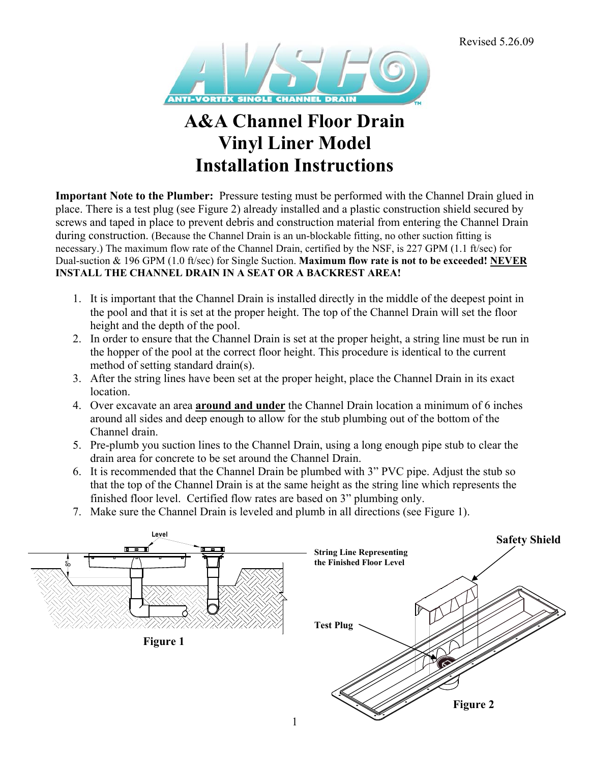

# **A&A Channel Floor Drain Vinyl Liner Model Installation Instructions**

**Important Note to the Plumber:** Pressure testing must be performed with the Channel Drain glued in place. There is a test plug (see Figure 2) already installed and a plastic construction shield secured by screws and taped in place to prevent debris and construction material from entering the Channel Drain during construction. (Because the Channel Drain is an un-blockable fitting, no other suction fitting is necessary.) The maximum flow rate of the Channel Drain, certified by the NSF, is 227 GPM (1.1 ft/sec) for Dual-suction & 196 GPM (1.0 ft/sec) for Single Suction. **Maximum flow rate is not to be exceeded! NEVER INSTALL THE CHANNEL DRAIN IN A SEAT OR A BACKREST AREA!** 

- 1. It is important that the Channel Drain is installed directly in the middle of the deepest point in the pool and that it is set at the proper height. The top of the Channel Drain will set the floor height and the depth of the pool.
- 2. In order to ensure that the Channel Drain is set at the proper height, a string line must be run in the hopper of the pool at the correct floor height. This procedure is identical to the current method of setting standard drain(s).
- 3. After the string lines have been set at the proper height, place the Channel Drain in its exact location.
- 4. Over excavate an area **around and under** the Channel Drain location a minimum of 6 inches around all sides and deep enough to allow for the stub plumbing out of the bottom of the Channel drain.
- 5. Pre-plumb you suction lines to the Channel Drain, using a long enough pipe stub to clear the drain area for concrete to be set around the Channel Drain.
- 6. It is recommended that the Channel Drain be plumbed with 3" PVC pipe. Adjust the stub so that the top of the Channel Drain is at the same height as the string line which represents the finished floor level. Certified flow rates are based on 3" plumbing only.
- 7. Make sure the Channel Drain is leveled and plumb in all directions (see Figure 1).

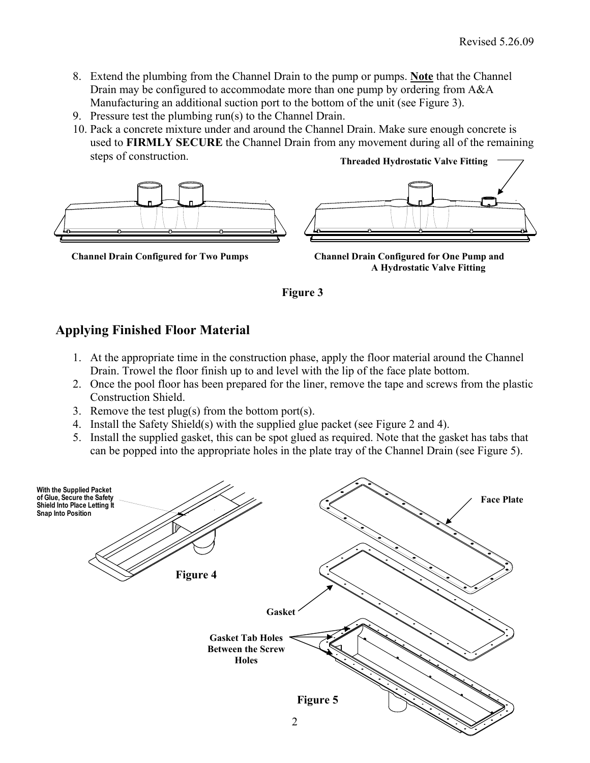- 8. Extend the plumbing from the Channel Drain to the pump or pumps. **Note** that the Channel Drain may be configured to accommodate more than one pump by ordering from A&A Manufacturing an additional suction port to the bottom of the unit (see Figure 3).
- 9. Pressure test the plumbing run(s) to the Channel Drain.
- 10. Pack a concrete mixture under and around the Channel Drain. Make sure enough concrete is used to **FIRMLY SECURE** the Channel Drain from any movement during all of the remaining steps of construction. **Threaded Hydrostatic Valve Fitting**



**Channel Drain Configured for Two Pumps Channel Drain Configured for One Pump and A Hydrostatic Valve Fitting** 



### **Applying Finished Floor Material**

- 1. At the appropriate time in the construction phase, apply the floor material around the Channel Drain. Trowel the floor finish up to and level with the lip of the face plate bottom.
- 2. Once the pool floor has been prepared for the liner, remove the tape and screws from the plastic Construction Shield.
- 3. Remove the test plug(s) from the bottom port(s).
- 4. Install the Safety Shield(s) with the supplied glue packet (see Figure 2 and 4).
- 5. Install the supplied gasket, this can be spot glued as required. Note that the gasket has tabs that can be popped into the appropriate holes in the plate tray of the Channel Drain (see Figure 5).

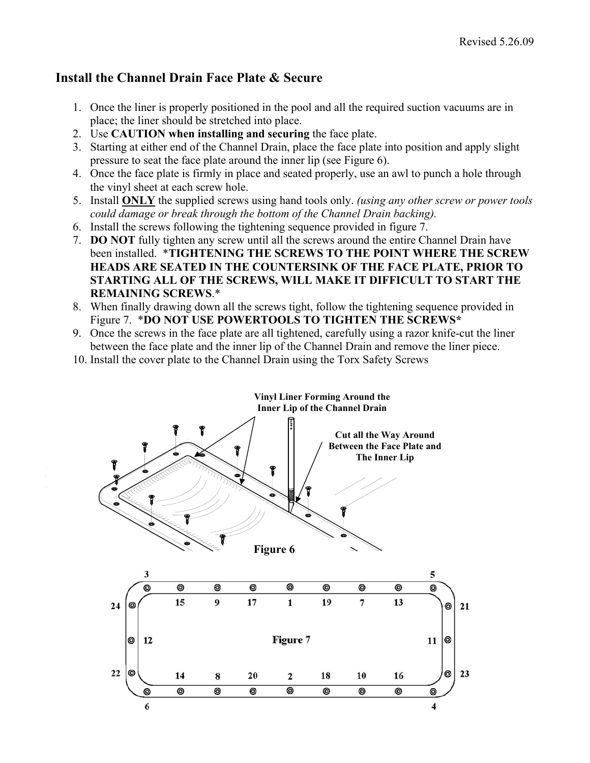### **Install the Channel Drain Face Plate & Secure**

- 1. Once the liner is properly positioned in the pool and all the required suction vacuums are in place; the liner should be stretched into place.
- 2. Use **CAUTION when installing and securing** the face plate.
- 3. Starting at either end of the Channel Drain, place the face plate into position and apply slight pressure to seat the face plate around the inner lip (see Figure 6).
- 4. Once the face plate is firmly in place and seated properly, use an awl to punch a hole through the vinyl sheet at each screw hole.
- 5. Install **ONLY** the supplied screws using hand tools only. *(using any other screw or power tools could damage or break through the bottom of the Channel Drain backing).*
- 6. Install the screws following the tightening sequence provided in figure 7.
- 7. **DO NOT** fully tighten any screw until all the screws around the entire Channel Drain have been installed. \***TIGHTENING THE SCREWS TO THE POINT WHERE THE SCREW HEADS ARE SEATED IN THE COUNTERSINK OF THE FACE PLATE, PRIOR TO STARTING ALL OF THE SCREWS, WILL MAKE IT DIFFICULT TO START THE REMAINING SCREWS**.\*
- 8. When finally drawing down all the screws tight, follow the tightening sequence provided in Figure 7. \***DO NOT USE POWERTOOLS TO TIGHTEN THE SCREWS\***
- 9. Once the screws in the face plate are all tightened, carefully using a razor knife-cut the liner between the face plate and the inner lip of the Channel Drain and remove the liner piece.
- 10. Install the cover plate to the Channel Drain using the Torx Safety Screws